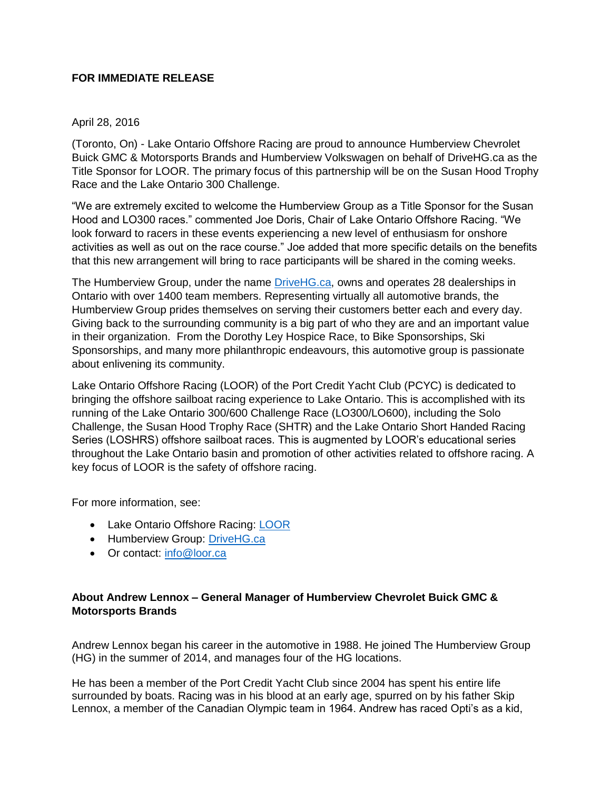## **FOR IMMEDIATE RELEASE**

## April 28, 2016

(Toronto, On) - Lake Ontario Offshore Racing are proud to announce Humberview Chevrolet Buick GMC & Motorsports Brands and Humberview Volkswagen on behalf of DriveHG.ca as the Title Sponsor for LOOR. The primary focus of this partnership will be on the Susan Hood Trophy Race and the Lake Ontario 300 Challenge.

"We are extremely excited to welcome the Humberview Group as a Title Sponsor for the Susan Hood and LO300 races." commented Joe Doris, Chair of Lake Ontario Offshore Racing. "We look forward to racers in these events experiencing a new level of enthusiasm for onshore activities as well as out on the race course." Joe added that more specific details on the benefits that this new arrangement will bring to race participants will be shared in the coming weeks.

The Humberview Group, under the name [DriveHG.ca,](http://www.drivehg.ca/) owns and operates 28 dealerships in Ontario with over 1400 team members. Representing virtually all automotive brands, the Humberview Group prides themselves on serving their customers better each and every day. Giving back to the surrounding community is a big part of who they are and an important value in their organization. From the Dorothy Ley Hospice Race, to Bike Sponsorships, Ski Sponsorships, and many more philanthropic endeavours, this automotive group is passionate about enlivening its community.

Lake Ontario Offshore Racing (LOOR) of the Port Credit Yacht Club (PCYC) is dedicated to bringing the offshore sailboat racing experience to Lake Ontario. This is accomplished with its running of the Lake Ontario 300/600 Challenge Race (LO300/LO600), including the Solo Challenge, the Susan Hood Trophy Race (SHTR) and the Lake Ontario Short Handed Racing Series (LOSHRS) offshore sailboat races. This is augmented by LOOR's educational series throughout the Lake Ontario basin and promotion of other activities related to offshore racing. A key focus of LOOR is the safety of offshore racing.

For more information, see:

- Lake Ontario Offshore Racing: [LOOR](http://loor.ca/)
- Humberview Group: [DriveHG.ca](http://www.humberviewgroup.com/)
- Or contact: [info@loor.ca](mailto:info@loor.ca)

## **About Andrew Lennox – General Manager of Humberview Chevrolet Buick GMC & Motorsports Brands**

Andrew Lennox began his career in the automotive in 1988. He joined The Humberview Group (HG) in the summer of 2014, and manages four of the HG locations.

He has been a member of the Port Credit Yacht Club since 2004 has spent his entire life surrounded by boats. Racing was in his blood at an early age, spurred on by his father Skip Lennox, a member of the Canadian Olympic team in 1964. Andrew has raced Opti's as a kid,